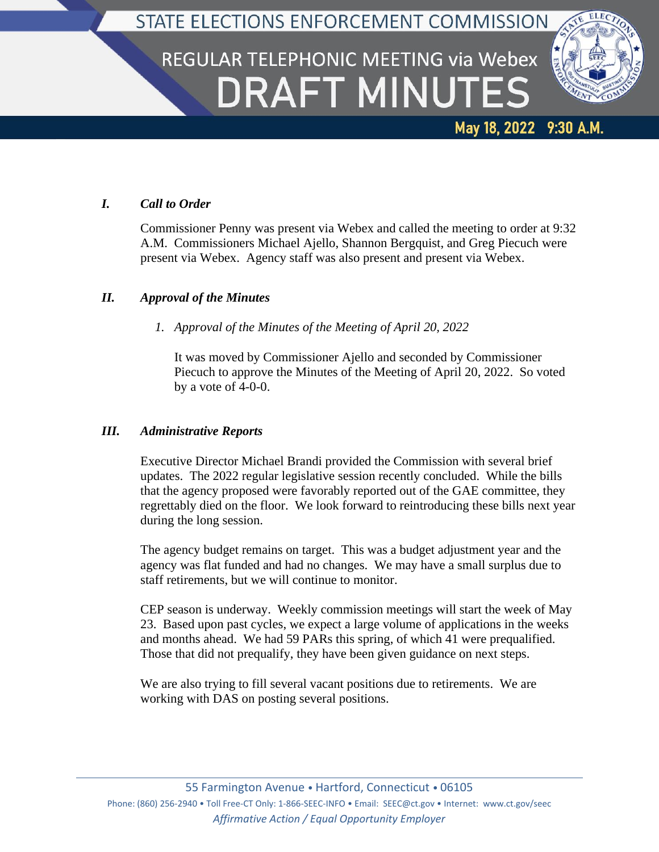### STATE ELECTIONS ENFORCEMENT COMMISSION

# REGULAR TELEPHONIC MEETING via Webex **DRAFT MINUTES**



May 18, 2022 9:30 A.M.

## *I. Call to Order*

Commissioner Penny was present via Webex and called the meeting to order at 9:32 A.M. Commissioners Michael Ajello, Shannon Bergquist, and Greg Piecuch were present via Webex. Agency staff was also present and present via Webex.

#### *II. Approval of the Minutes*

*1. Approval of the Minutes of the Meeting of April 20, 2022*

It was moved by Commissioner Ajello and seconded by Commissioner Piecuch to approve the Minutes of the Meeting of April 20, 2022. So voted by a vote of 4-0-0.

#### *III. Administrative Reports*

Executive Director Michael Brandi provided the Commission with several brief updates. The 2022 regular legislative session recently concluded. While the bills that the agency proposed were favorably reported out of the GAE committee, they regrettably died on the floor. We look forward to reintroducing these bills next year during the long session.

The agency budget remains on target. This was a budget adjustment year and the agency was flat funded and had no changes. We may have a small surplus due to staff retirements, but we will continue to monitor.

CEP season is underway. Weekly commission meetings will start the week of May 23. Based upon past cycles, we expect a large volume of applications in the weeks and months ahead. We had 59 PARs this spring, of which 41 were prequalified. Those that did not prequalify, they have been given guidance on next steps.

We are also trying to fill several vacant positions due to retirements. We are working with DAS on posting several positions.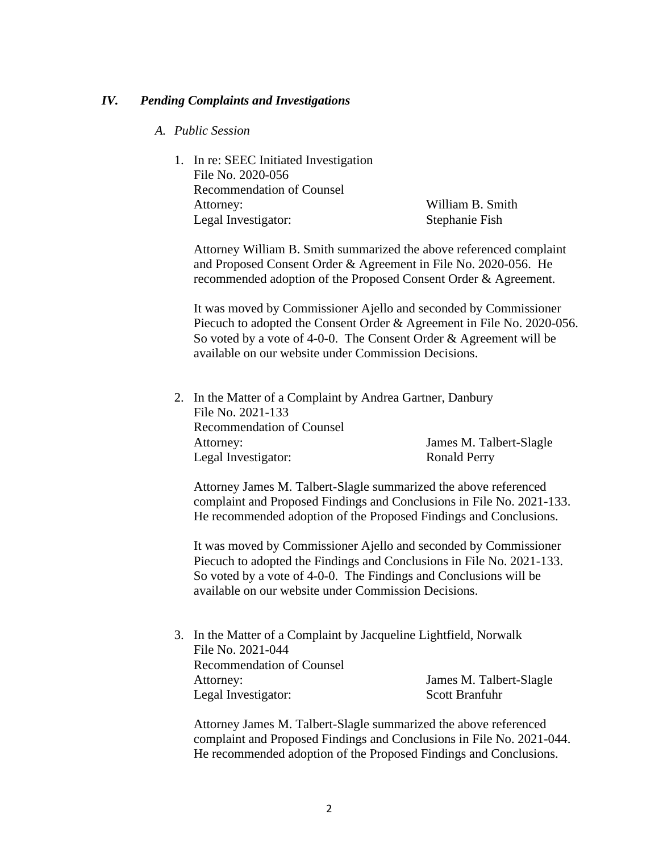#### *IV. Pending Complaints and Investigations*

- *A. Public Session*
	- 1. In re: SEEC Initiated Investigation File No. 2020-056 Recommendation of Counsel Attorney: William B. Smith Legal Investigator: Stephanie Fish

Attorney William B. Smith summarized the above referenced complaint and Proposed Consent Order & Agreement in File No. 2020-056. He recommended adoption of the Proposed Consent Order & Agreement.

It was moved by Commissioner Ajello and seconded by Commissioner Piecuch to adopted the Consent Order & Agreement in File No. 2020-056. So voted by a vote of 4-0-0. The Consent Order & Agreement will be available on our website under Commission Decisions.

2. In the Matter of a Complaint by Andrea Gartner, Danbury File No. 2021-133 Recommendation of Counsel Attorney: James M. Talbert-Slagle Legal Investigator: Ronald Perry

Attorney James M. Talbert-Slagle summarized the above referenced complaint and Proposed Findings and Conclusions in File No. 2021-133. He recommended adoption of the Proposed Findings and Conclusions.

It was moved by Commissioner Ajello and seconded by Commissioner Piecuch to adopted the Findings and Conclusions in File No. 2021-133. So voted by a vote of 4-0-0. The Findings and Conclusions will be available on our website under Commission Decisions.

3. In the Matter of a Complaint by Jacqueline Lightfield, Norwalk File No. 2021-044 Recommendation of Counsel Attorney: James M. Talbert-Slagle Legal Investigator: Scott Branfuhr

Attorney James M. Talbert-Slagle summarized the above referenced complaint and Proposed Findings and Conclusions in File No. 2021-044. He recommended adoption of the Proposed Findings and Conclusions.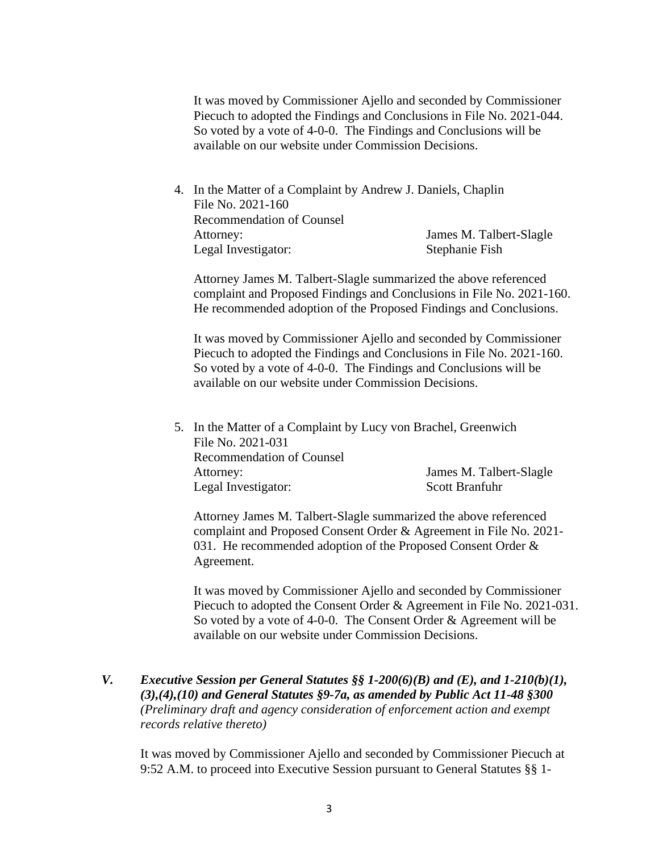It was moved by Commissioner Ajello and seconded by Commissioner Piecuch to adopted the Findings and Conclusions in File No. 2021-044. So voted by a vote of 4-0-0. The Findings and Conclusions will be available on our website under Commission Decisions.

4. In the Matter of a Complaint by Andrew J. Daniels, Chaplin File No. 2021-160 Recommendation of Counsel Attorney: James M. Talbert-Slagle Legal Investigator: Stephanie Fish

Attorney James M. Talbert-Slagle summarized the above referenced complaint and Proposed Findings and Conclusions in File No. 2021-160. He recommended adoption of the Proposed Findings and Conclusions.

It was moved by Commissioner Ajello and seconded by Commissioner Piecuch to adopted the Findings and Conclusions in File No. 2021-160. So voted by a vote of 4-0-0. The Findings and Conclusions will be available on our website under Commission Decisions.

| File No. 2021-031                |                                                                |
|----------------------------------|----------------------------------------------------------------|
| <b>Recommendation of Counsel</b> |                                                                |
| Attorney:                        | James M. Talbert-Slagle                                        |
| Legal Investigator:              | Scott Branfuhr                                                 |
|                                  | 5. In the Matter of a Complaint by Lucy von Brachel, Greenwich |

Attorney James M. Talbert-Slagle summarized the above referenced complaint and Proposed Consent Order & Agreement in File No. 2021- 031. He recommended adoption of the Proposed Consent Order & Agreement.

It was moved by Commissioner Ajello and seconded by Commissioner Piecuch to adopted the Consent Order & Agreement in File No. 2021-031. So voted by a vote of 4-0-0. The Consent Order & Agreement will be available on our website under Commission Decisions.

*V. Executive Session per General Statutes §§ 1-200(6)(B) and (E), and 1-210(b)(1), (3),(4),(10) and General Statutes §9-7a, as amended by Public Act 11-48 §300 (Preliminary draft and agency consideration of enforcement action and exempt records relative thereto)*

It was moved by Commissioner Ajello and seconded by Commissioner Piecuch at 9:52 A.M. to proceed into Executive Session pursuant to General Statutes §§ 1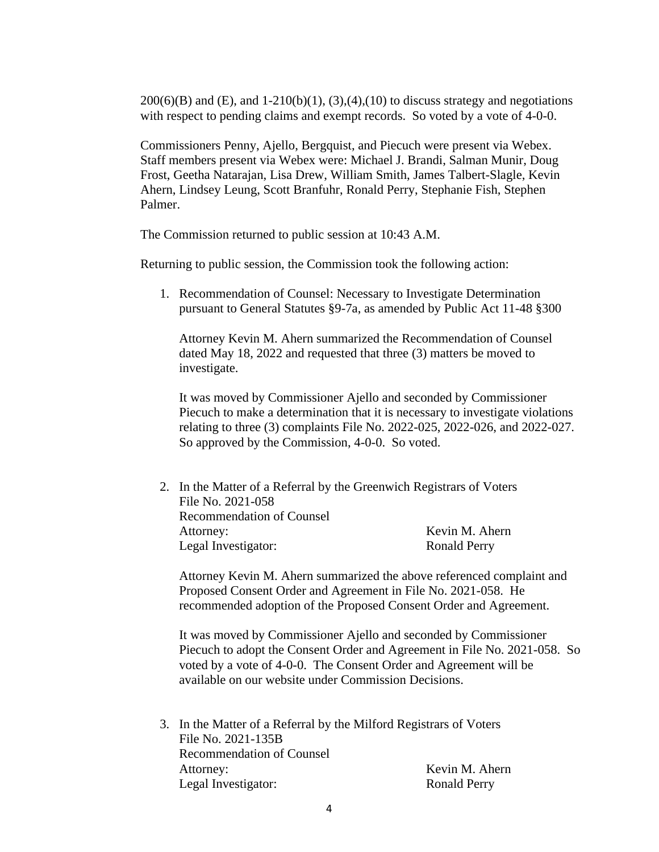$200(6)(B)$  and  $(E)$ , and  $1-210(b)(1)$ ,  $(3)$ , $(4)$ , $(10)$  to discuss strategy and negotiations with respect to pending claims and exempt records. So voted by a vote of 4-0-0.

Commissioners Penny, Ajello, Bergquist, and Piecuch were present via Webex. Staff members present via Webex were: Michael J. Brandi, Salman Munir, Doug Frost, Geetha Natarajan, Lisa Drew, William Smith, James Talbert-Slagle, Kevin Ahern, Lindsey Leung, Scott Branfuhr, Ronald Perry, Stephanie Fish, Stephen Palmer.

The Commission returned to public session at 10:43 A.M.

Returning to public session, the Commission took the following action:

1. Recommendation of Counsel: Necessary to Investigate Determination pursuant to General Statutes §9-7a, as amended by Public Act 11-48 §300

Attorney Kevin M. Ahern summarized the Recommendation of Counsel dated May 18, 2022 and requested that three (3) matters be moved to investigate.

It was moved by Commissioner Ajello and seconded by Commissioner Piecuch to make a determination that it is necessary to investigate violations relating to three (3) complaints File No. 2022-025, 2022-026, and 2022-027. So approved by the Commission, 4-0-0. So voted.

2. In the Matter of a Referral by the Greenwich Registrars of Voters File No. 2021-058 Recommendation of Counsel Attorney: Kevin M. Ahern Legal Investigator: Ronald Perry

Attorney Kevin M. Ahern summarized the above referenced complaint and Proposed Consent Order and Agreement in File No. 2021-058. He recommended adoption of the Proposed Consent Order and Agreement.

It was moved by Commissioner Ajello and seconded by Commissioner Piecuch to adopt the Consent Order and Agreement in File No. 2021-058. So voted by a vote of 4-0-0. The Consent Order and Agreement will be available on our website under Commission Decisions.

3. In the Matter of a Referral by the Milford Registrars of Voters File No. 2021-135B Recommendation of Counsel Attorney: Kevin M. Ahern Legal Investigator: Ronald Perry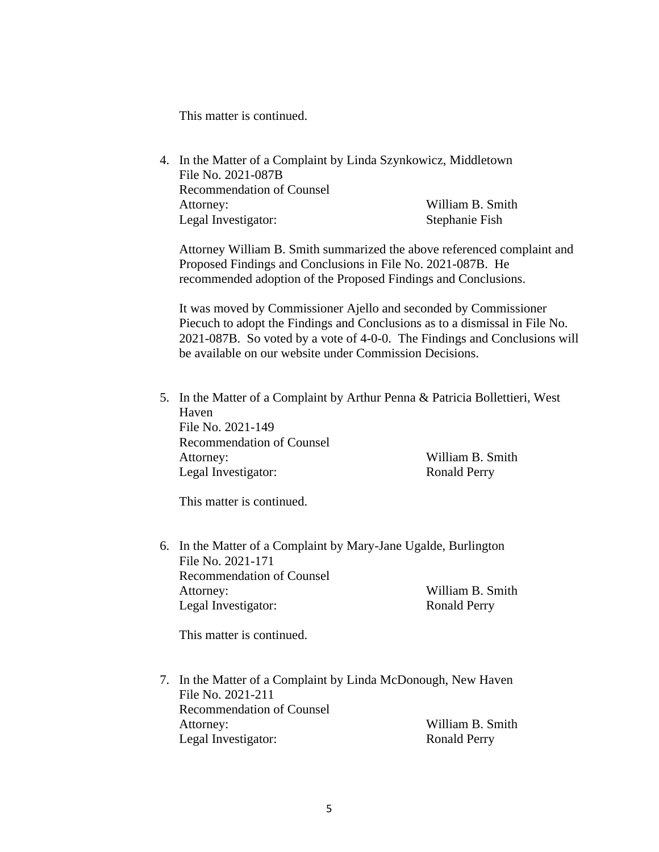This matter is continued.

4. In the Matter of a Complaint by Linda Szynkowicz, Middletown File No. 2021-087B Recommendation of Counsel Attorney: William B. Smith Legal Investigator: Stephanie Fish

Attorney William B. Smith summarized the above referenced complaint and Proposed Findings and Conclusions in File No. 2021-087B. He recommended adoption of the Proposed Findings and Conclusions.

It was moved by Commissioner Ajello and seconded by Commissioner Piecuch to adopt the Findings and Conclusions as to a dismissal in File No. 2021-087B. So voted by a vote of 4-0-0. The Findings and Conclusions will be available on our website under Commission Decisions.

5. In the Matter of a Complaint by Arthur Penna & Patricia Bollettieri, West Haven File No. 2021-149 Recommendation of Counsel Attorney: William B. Smith Legal Investigator: Ronald Perry

This matter is continued.

6. In the Matter of a Complaint by Mary-Jane Ugalde, Burlington File No. 2021-171 Recommendation of Counsel Attorney: William B. Smith Legal Investigator: Ronald Perry

This matter is continued.

7. In the Matter of a Complaint by Linda McDonough, New Haven File No. 2021-211 Recommendation of Counsel Attorney: William B. Smith Legal Investigator: Ronald Perry